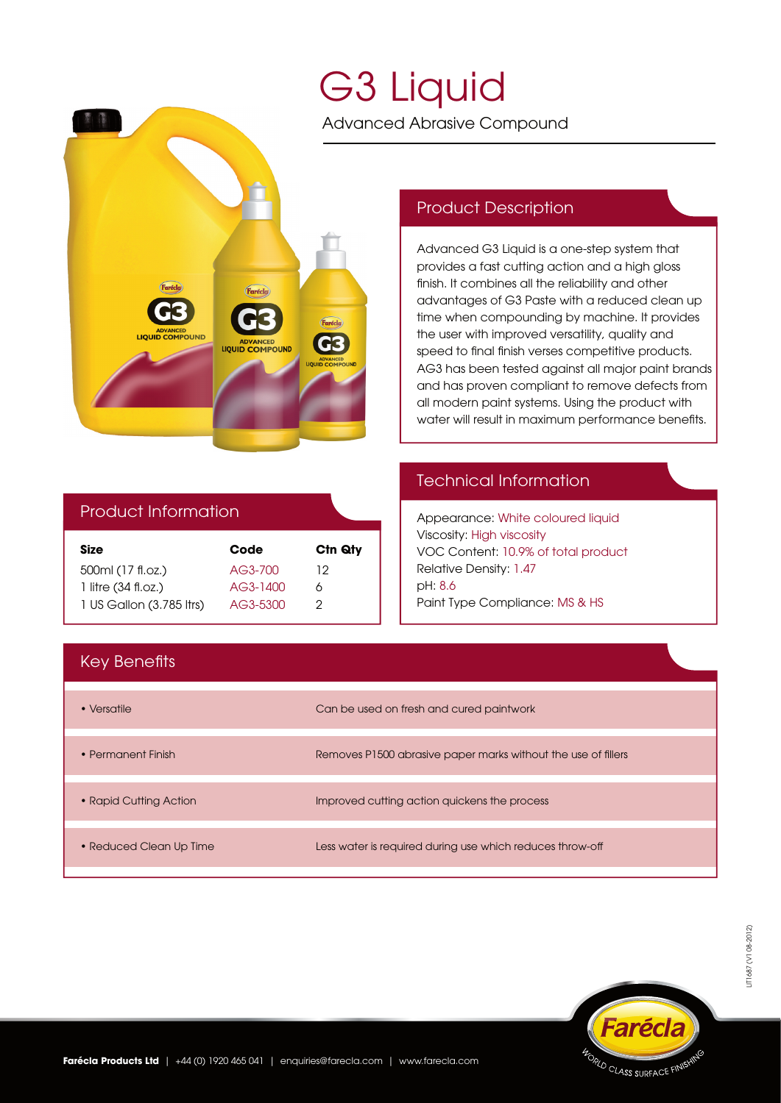

# G3 Liquid

Advanced Abrasive Compound

#### Product Description

Advanced G3 Liquid is a one-step system that provides a fast cutting action and a high gloss nish. It combines all the reliability and other advantages of G3 Paste with a reduced clean up time when compounding by machine. It provides the user with improved versatility, quality and speed to final finish verses competitive products. AG3 has been tested against all major paint brands and has proven compliant to remove defects from all modern paint systems. Using the product with water will result in maximum performance benefits.

## Product Information

| Code     | C <sub>tn</sub> Q <sub>ty</sub> |
|----------|---------------------------------|
| AG3-700  | 12                              |
| AG3-1400 | Α                               |
| AG3-5300 | 2                               |
|          |                                 |

#### Technical Information

Appearance: White coloured liquid Viscosity: High viscosity VOC Content: 10.9% of total product Relative Density: 1.47 pH: 8.6 Paint Type Compliance: MS & HS

### **Key Benefits**

| • Versatile             | Can be used on fresh and cured paintwork                      |
|-------------------------|---------------------------------------------------------------|
| • Permanent Finish      | Removes P1500 abrasive paper marks without the use of fillers |
| • Rapid Cutting Action  | Improved cutting action quickens the process                  |
| • Reduced Clean Up Time | Less water is required during use which reduces throw-off     |